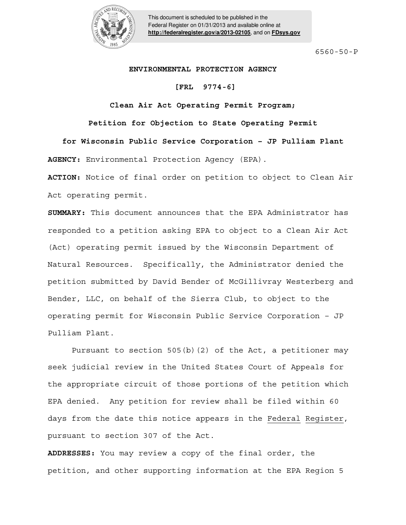

This document is scheduled to be published in the Federal Register on 01/31/2013 and available online at **<http://federalregister.gov/a/2013-02105>**, and on **[FDsys.gov](http://federalregister.gov/a/2013-02105.pdf)**

6560-50-P

## **ENVIRONMENTAL PROTECTION AGENCY**

 **[FRL 9774-6]** 

## **Clean Air Act Operating Permit Program;**

**Petition for Objection to State Operating Permit for Wisconsin Public Service Corporation – JP Pulliam Plant AGENCY:** Environmental Protection Agency (EPA).

**ACTION:** Notice of final order on petition to object to Clean Air Act operating permit.

**SUMMARY:** This document announces that the EPA Administrator has responded to a petition asking EPA to object to a Clean Air Act (Act) operating permit issued by the Wisconsin Department of Natural Resources. Specifically, the Administrator denied the petition submitted by David Bender of McGillivray Westerberg and Bender, LLC, on behalf of the Sierra Club, to object to the operating permit for Wisconsin Public Service Corporation – JP Pulliam Plant.

Pursuant to section 505(b)(2) of the Act, a petitioner may seek judicial review in the United States Court of Appeals for the appropriate circuit of those portions of the petition which EPA denied. Any petition for review shall be filed within 60 days from the date this notice appears in the Federal Register, pursuant to section 307 of the Act.

**ADDRESSES:** You may review a copy of the final order, the petition, and other supporting information at the EPA Region 5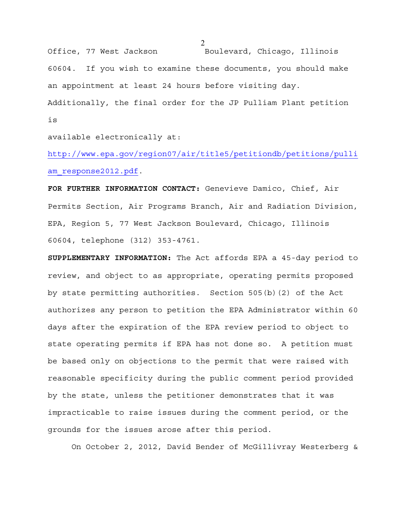Office, 77 West Jackson Boulevard, Chicago, Illinois 60604. If you wish to examine these documents, you should make an appointment at least 24 hours before visiting day. Additionally, the final order for the JP Pulliam Plant petition is

available electronically at:

http://www.epa.gov/region07/air/title5/petitiondb/petitions/pulli am response2012.pdf.

**FOR FURTHER INFORMATION CONTACT:** Genevieve Damico, Chief, Air Permits Section, Air Programs Branch, Air and Radiation Division, EPA, Region 5, 77 West Jackson Boulevard, Chicago, Illinois 60604, telephone (312) 353-4761.

**SUPPLEMENTARY INFORMATION:** The Act affords EPA a 45-day period to review, and object to as appropriate, operating permits proposed by state permitting authorities. Section 505(b)(2) of the Act authorizes any person to petition the EPA Administrator within 60 days after the expiration of the EPA review period to object to state operating permits if EPA has not done so. A petition must be based only on objections to the permit that were raised with reasonable specificity during the public comment period provided by the state, unless the petitioner demonstrates that it was impracticable to raise issues during the comment period, or the grounds for the issues arose after this period.

On October 2, 2012, David Bender of McGillivray Westerberg &

2